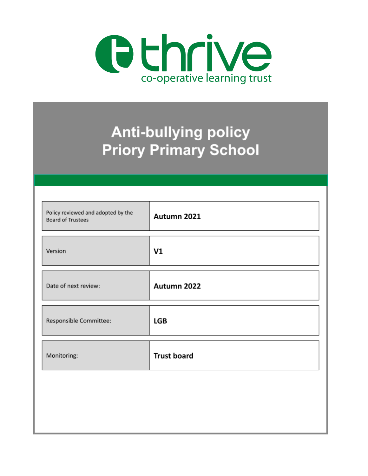

# **Anti-bullying policy Priory Primary School**

| Policy reviewed and adopted by the<br><b>Board of Trustees</b> | Autumn 2021        |
|----------------------------------------------------------------|--------------------|
| Version                                                        | V1                 |
| Date of next review:                                           | Autumn 2022        |
| Responsible Committee:                                         | <b>LGB</b>         |
| Monitoring:                                                    | <b>Trust board</b> |
|                                                                |                    |
|                                                                |                    |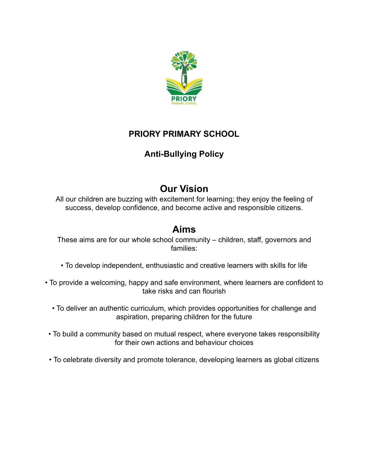

# **PRIORY PRIMARY SCHOOL**

# **Anti-Bullying Policy**

# **Our Vision**

All our children are buzzing with excitement for learning; they enjoy the feeling of success, develop confidence, and become active and responsible citizens.

# **Aims**

These aims are for our whole school community – children, staff, governors and families:

- To develop independent, enthusiastic and creative learners with skills for life
- To provide a welcoming, happy and safe environment, where learners are confident to take risks and can flourish
	- To deliver an authentic curriculum, which provides opportunities for challenge and aspiration, preparing children for the future
- To build a community based on mutual respect, where everyone takes responsibility for their own actions and behaviour choices
- To celebrate diversity and promote tolerance, developing learners as global citizens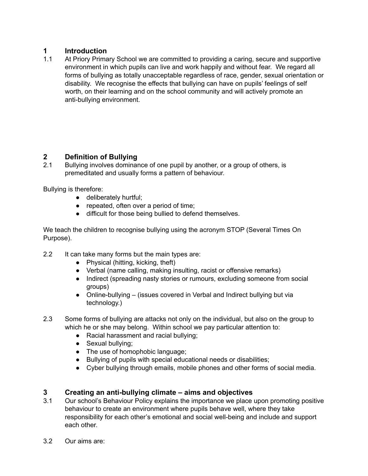# **1 Introduction**

1.1 At Priory Primary School we are committed to providing a caring, secure and supportive environment in which pupils can live and work happily and without fear. We regard all forms of bullying as totally unacceptable regardless of race, gender, sexual orientation or disability. We recognise the effects that bullying can have on pupils' feelings of self worth, on their learning and on the school community and will actively promote an anti-bullying environment.

# **2 Definition of Bullying**

2.1 Bullying involves dominance of one pupil by another, or a group of others, is premeditated and usually forms a pattern of behaviour.

Bullying is therefore:

- deliberately hurtful;
- repeated, often over a period of time;
- difficult for those being bullied to defend themselves.

We teach the children to recognise bullying using the acronym STOP (Several Times On Purpose).

- 2.2 It can take many forms but the main types are:
	- $\bullet$  Physical (hitting, kicking, theft)
	- Verbal (name calling, making insulting, racist or offensive remarks)
	- Indirect (spreading nasty stories or rumours, excluding someone from social groups)
	- Online-bullying (issues covered in Verbal and Indirect bullying but via technology.)
- 2.3 Some forms of bullying are attacks not only on the individual, but also on the group to which he or she may belong. Within school we pay particular attention to:
	- Racial harassment and racial bullying;
	- Sexual bullying;
	- The use of homophobic language;
	- Bullying of pupils with special educational needs or disabilities;
	- Cyber bullying through emails, mobile phones and other forms of social media.

# **3 Creating an anti-bullying climate – aims and objectives**

- 3.1 Our school's Behaviour Policy explains the importance we place upon promoting positive behaviour to create an environment where pupils behave well, where they take responsibility for each other's emotional and social well-being and include and support each other.
- 3.2 Our aims are: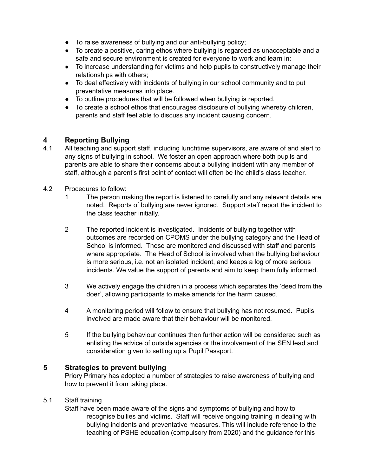- To raise awareness of bullying and our anti-bullying policy;
- To create a positive, caring ethos where bullying is regarded as unacceptable and a safe and secure environment is created for everyone to work and learn in;
- To increase understanding for victims and help pupils to constructively manage their relationships with others;
- To deal effectively with incidents of bullying in our school community and to put preventative measures into place.
- To outline procedures that will be followed when bullying is reported.
- To create a school ethos that encourages disclosure of bullying whereby children, parents and staff feel able to discuss any incident causing concern.

### **4 Reporting Bullying**

- 4.1 All teaching and support staff, including lunchtime supervisors, are aware of and alert to any signs of bullying in school. We foster an open approach where both pupils and parents are able to share their concerns about a bullying incident with any member of staff, although a parent's first point of contact will often be the child's class teacher.
- 4.2 Procedures to follow:
	- 1 The person making the report is listened to carefully and any relevant details are noted. Reports of bullying are never ignored. Support staff report the incident to the class teacher initially.
	- 2 The reported incident is investigated. Incidents of bullying together with outcomes are recorded on CPOMS under the bullying category and the Head of School is informed. These are monitored and discussed with staff and parents where appropriate. The Head of School is involved when the bullying behaviour is more serious, i.e. not an isolated incident, and keeps a log of more serious incidents. We value the support of parents and aim to keep them fully informed.
	- 3 We actively engage the children in a process which separates the 'deed from the doer', allowing participants to make amends for the harm caused.
	- 4 A monitoring period will follow to ensure that bullying has not resumed. Pupils involved are made aware that their behaviour will be monitored.
	- 5 If the bullying behaviour continues then further action will be considered such as enlisting the advice of outside agencies or the involvement of the SEN lead and consideration given to setting up a Pupil Passport.

#### **5 Strategies to prevent bullying**

Priory Primary has adopted a number of strategies to raise awareness of bullying and how to prevent it from taking place.

#### 5.1 Staff training

Staff have been made aware of the signs and symptoms of bullying and how to recognise bullies and victims. Staff will receive ongoing training in dealing with bullying incidents and preventative measures. This will include reference to the teaching of PSHE education (compulsory from 2020) and the guidance for this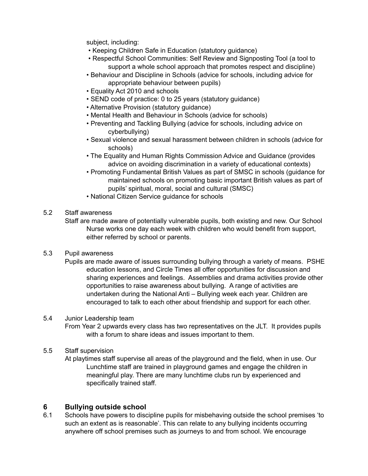subject, including:

- Keeping Children Safe in Education (statutory guidance)
- Respectful School Communities: Self Review and Signposting Tool (a tool to support a whole school approach that promotes respect and discipline)
- Behaviour and Discipline in Schools (advice for schools, including advice for appropriate behaviour between pupils)
- Equality Act 2010 and schools
- SEND code of practice: 0 to 25 years (statutory guidance)
- Alternative Provision (statutory guidance)
- Mental Health and Behaviour in Schools (advice for schools)
- Preventing and Tackling Bullying (advice for schools, including advice on cyberbullying)
- Sexual violence and sexual harassment between children in schools (advice for schools)
- The Equality and Human Rights Commission Advice and Guidance (provides advice on avoiding discrimination in a variety of educational contexts)
- Promoting Fundamental British Values as part of SMSC in schools (guidance for maintained schools on promoting basic important British values as part of pupils' spiritual, moral, social and cultural (SMSC)
- National Citizen Service guidance for schools
- 5.2 Staff awareness
	- Staff are made aware of potentially vulnerable pupils, both existing and new. Our School Nurse works one day each week with children who would benefit from support, either referred by school or parents.
- 5.3 Pupil awareness
	- Pupils are made aware of issues surrounding bullying through a variety of means. PSHE education lessons, and Circle Times all offer opportunities for discussion and sharing experiences and feelings. Assemblies and drama activities provide other opportunities to raise awareness about bullying. A range of activities are undertaken during the National Anti – Bullying week each year. Children are encouraged to talk to each other about friendship and support for each other.

#### 5.4 Junior Leadership team

- From Year 2 upwards every class has two representatives on the JLT. It provides pupils with a forum to share ideas and issues important to them.
- 5.5 Staff supervision
	- At playtimes staff supervise all areas of the playground and the field, when in use. Our Lunchtime staff are trained in playground games and engage the children in meaningful play. There are many lunchtime clubs run by experienced and specifically trained staff.

### **6 Bullying outside school**

6.1 Schools have powers to discipline pupils for misbehaving outside the school premises 'to such an extent as is reasonable'. This can relate to any bullying incidents occurring anywhere off school premises such as journeys to and from school. We encourage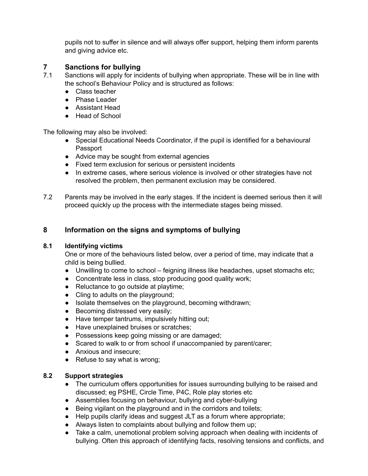pupils not to suffer in silence and will always offer support, helping them inform parents and giving advice etc.

## **7 Sanctions for bullying**

- 7.1 Sanctions will apply for incidents of bullying when appropriate. These will be in line with the school's Behaviour Policy and is structured as follows:
	- Class teacher
	- Phase Leader
	- Assistant Head
	- Head of School

The following may also be involved:

- Special Educational Needs Coordinator, if the pupil is identified for a behavioural Passport
- Advice may be sought from external agencies
- Fixed term exclusion for serious or persistent incidents
- In extreme cases, where serious violence is involved or other strategies have not resolved the problem, then permanent exclusion may be considered.
- 7.2 Parents may be involved in the early stages. If the incident is deemed serious then it will proceed quickly up the process with the intermediate stages being missed.

# **8 Information on the signs and symptoms of bullying**

### **8.1 Identifying victims**

One or more of the behaviours listed below, over a period of time, may indicate that a child is being bullied.

- Unwilling to come to school feigning illness like headaches, upset stomachs etc;
- Concentrate less in class, stop producing good quality work;
- Reluctance to go outside at playtime;
- Cling to adults on the playground;
- Isolate themselves on the playground, becoming withdrawn;
- Becoming distressed very easily;
- Have temper tantrums, impulsively hitting out;
- Have unexplained bruises or scratches;
- Possessions keep going missing or are damaged;
- Scared to walk to or from school if unaccompanied by parent/carer;
- Anxious and insecure:
- Refuse to say what is wrong;

#### **8.2 Support strategies**

- The curriculum offers opportunities for issues surrounding bullying to be raised and discussed; eg PSHE, Circle Time, P4C, Role play stories etc
- Assemblies focusing on behaviour, bullying and cyber-bullying
- Being vigilant on the playground and in the corridors and toilets;
- Help pupils clarify ideas and suggest JLT as a forum where appropriate;
- Always listen to complaints about bullying and follow them up;
- Take a calm, unemotional problem solving approach when dealing with incidents of bullying. Often this approach of identifying facts, resolving tensions and conflicts, and